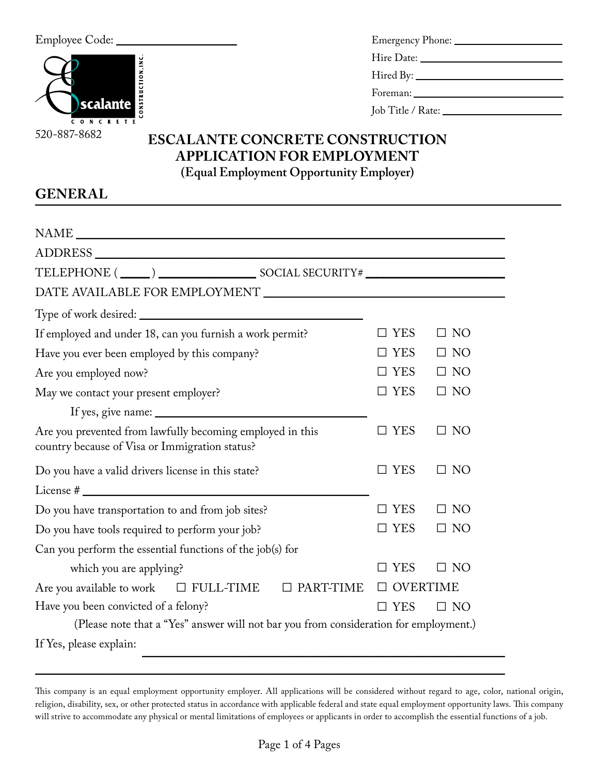

| Foreman: |
|----------|
|          |

# **ESCALANTE CONCRETE CONSTRUCTION APPLICATION FOR EMPLOYMENT (Equal Employment Opportunity Employer)**

# **GENERAL** \_\_\_\_\_\_\_\_\_\_\_\_\_\_\_\_\_\_\_\_\_\_\_\_\_\_\_\_\_\_\_\_\_\_\_\_\_\_\_\_\_\_\_\_\_\_\_\_\_\_\_\_\_\_\_\_\_\_\_\_\_\_\_\_\_\_\_\_\_\_\_\_\_\_\_\_\_\_\_\_\_\_\_\_\_\_\_\_\_\_\_\_

| If employed and under 18, can you furnish a work permit?                                                    | $\square$ YES   | $\square$ NO |
|-------------------------------------------------------------------------------------------------------------|-----------------|--------------|
| Have you ever been employed by this company?                                                                | <b>YES</b>      | $\Box$ NO    |
| Are you employed now?                                                                                       | $\Box$ YES      | $\Box$ NO    |
| May we contact your present employer?                                                                       | $\square$ YES   | $\Box$ NO    |
|                                                                                                             |                 |              |
| Are you prevented from lawfully becoming employed in this<br>country because of Visa or Immigration status? | $\square$ YES   | $\square$ NO |
| Do you have a valid drivers license in this state?                                                          | $\Box$ YES      | $\Box$ NO    |
|                                                                                                             |                 |              |
| Do you have transportation to and from job sites?                                                           | $\square$ YES   | $\Box$ NO    |
| Do you have tools required to perform your job?                                                             | $\Box$ YES      | $\Box$ NO    |
| Can you perform the essential functions of the job(s) for                                                   |                 |              |
| which you are applying?                                                                                     | <b>YES</b>      | $\Box$ NO    |
| Are you available to work $\square$ FULL-TIME $\square$ PART-TIME                                           | <b>OVERTIME</b> |              |
| Have you been convicted of a felony?                                                                        | $\square$ YES   | $\Box$ NO    |
| (Please note that a "Yes" answer will not bar you from consideration for employment.)                       |                 |              |
| If Yes, please explain:                                                                                     |                 |              |

 $\overline{\phantom{a}}$  ,  $\overline{\phantom{a}}$  ,  $\overline{\phantom{a}}$  ,  $\overline{\phantom{a}}$  ,  $\overline{\phantom{a}}$  ,  $\overline{\phantom{a}}$  ,  $\overline{\phantom{a}}$  ,  $\overline{\phantom{a}}$  ,  $\overline{\phantom{a}}$  ,  $\overline{\phantom{a}}$  ,  $\overline{\phantom{a}}$  ,  $\overline{\phantom{a}}$  ,  $\overline{\phantom{a}}$  ,  $\overline{\phantom{a}}$  ,  $\overline{\phantom{a}}$  ,  $\overline{\phantom{a}}$ 

This company is an equal employment opportunity employer. All applications will be considered without regard to age, color, national origin, religion, disability, sex, or other protected status in accordance with applicable federal and state equal employment opportunity laws. This company will strive to accommodate any physical or mental limitations of employees or applicants in order to accomplish the essential functions of a job.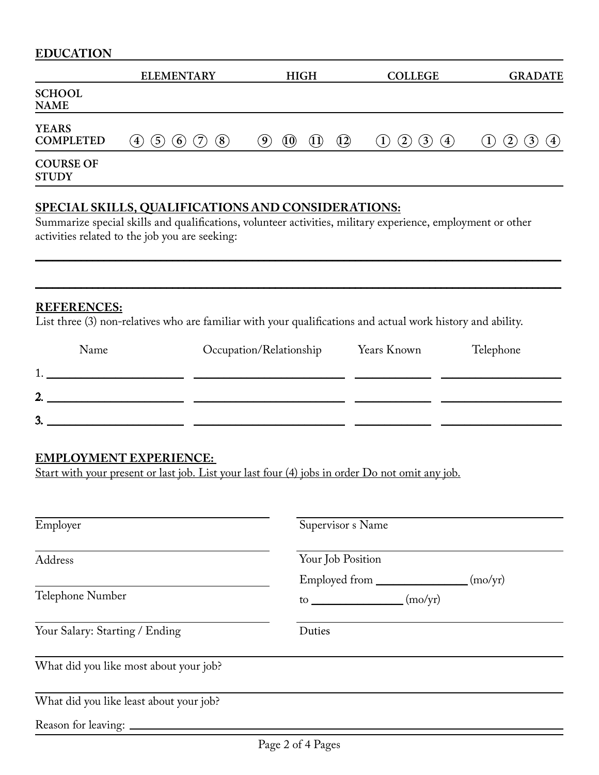| <b>EDUCATION</b>                 |                                                                                     |                                                                     |                                                           |                                                               |
|----------------------------------|-------------------------------------------------------------------------------------|---------------------------------------------------------------------|-----------------------------------------------------------|---------------------------------------------------------------|
|                                  | <b>ELEMENTARY</b>                                                                   | <b>HIGH</b>                                                         | <b>COLLEGE</b>                                            | <b>GRADATE</b>                                                |
| <b>SCHOOL</b><br><b>NAME</b>     |                                                                                     |                                                                     |                                                           |                                                               |
| <b>YEARS</b><br><b>COMPLETED</b> | $\left[8\right]$<br>7<br>$\left(5\right)$<br>$\left( 6\right)$<br>$\left( 4\right)$ | (10)<br>$\left( \mathbf{9}\right)$<br>$\left(12\right)$<br>$(1\,1)$ | $3^{\circ}$<br>$\left( 4\right)$<br>$\left(2\right)$<br>1 | $\mathbf{2}^{\mathsf{c}}$<br>$\overline{3}$<br>$\overline{4}$ |
| <b>COURSE OF</b><br><b>STUDY</b> |                                                                                     |                                                                     |                                                           |                                                               |

# **SPECIAL SKILLS, QUALIFICATIONS AND CONSIDERATIONS:**

Summarize special skills and qualifications, volunteer activities, military experience, employment or other activities related to the job you are seeking:

 $\mathcal{L} = \{ \mathcal{L} = \{ \mathcal{L} = \mathcal{L} \} \cup \{ \mathcal{L} = \{ \mathcal{L} = \mathcal{L} \} \cup \{ \mathcal{L} = \{ \mathcal{L} = \mathcal{L} \} \cup \{ \mathcal{L} = \{ \mathcal{L} = \mathcal{L} \} \cup \{ \mathcal{L} = \{ \mathcal{L} = \mathcal{L} \} \cup \{ \mathcal{L} = \{ \mathcal{L} = \mathcal{L} \} \cup \{ \mathcal{L} = \{ \mathcal{L} = \mathcal{L} \} \cup \{ \mathcal{L} = \{ \mathcal{L}$ 

\_\_\_\_\_\_\_\_\_\_\_\_\_\_\_\_\_\_\_\_\_\_\_\_\_\_\_\_\_\_\_\_\_\_\_\_\_\_\_\_\_\_\_\_\_\_\_\_\_\_\_\_\_\_\_\_\_\_\_\_\_\_\_\_\_\_\_\_\_\_\_\_\_\_\_\_\_\_\_\_\_\_\_\_\_\_\_\_\_\_\_\_

#### **REFERENCES:**

List three (3) non-relatives who are familiar with your qualifications and actual work history and ability.

| Name | Occupation/Relationship | Years Known | Telephone |
|------|-------------------------|-------------|-----------|
|      |                         |             |           |
| າ    |                         |             |           |
| 3.   |                         |             |           |

# **EMPLOYMENT EXPERIENCE:**

Start with your present or last job. List your last four (4) jobs in order Do not omit any job.

| Employer                                | Supervisor s Name                             |  |
|-----------------------------------------|-----------------------------------------------|--|
| Address                                 | Your Job Position<br>Employed from<br>(mo/yr) |  |
| Telephone Number                        | (mo/yr)                                       |  |
| Your Salary: Starting / Ending          | Duties                                        |  |
| What did you like most about your job?  |                                               |  |
| What did you like least about your job? |                                               |  |
|                                         |                                               |  |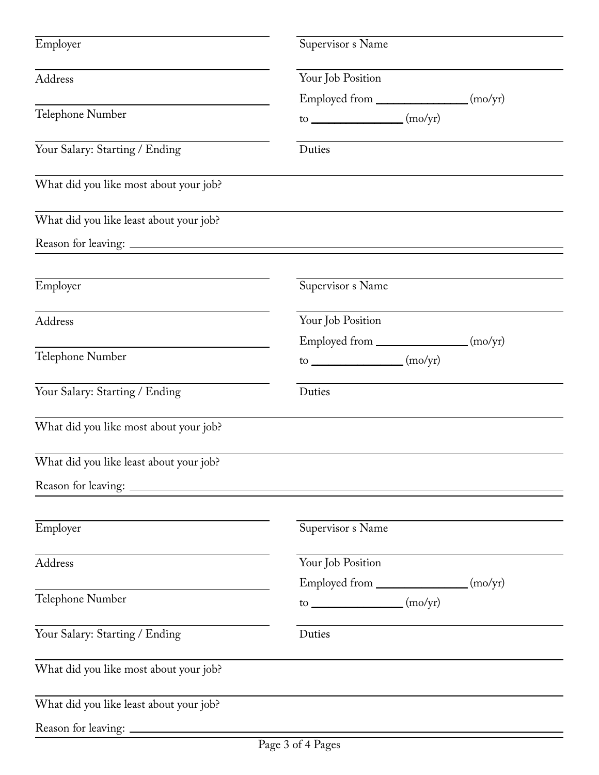| Employer                                | Supervisor s Name                                                |  |
|-----------------------------------------|------------------------------------------------------------------|--|
| Address                                 | Your Job Position                                                |  |
|                                         | Employed from _________________ (mo/yr)                          |  |
| Telephone Number                        | to $\_\_\_\_\_\_\_\_\_\_\_\_$                                    |  |
| Your Salary: Starting / Ending          | Duties                                                           |  |
| What did you like most about your job?  |                                                                  |  |
| What did you like least about your job? |                                                                  |  |
|                                         |                                                                  |  |
| Employer                                | Supervisor s Name                                                |  |
| Address                                 | Your Job Position                                                |  |
|                                         | Employed from _________________ (mo/yr)                          |  |
| Telephone Number                        | to $\frac{1}{\sqrt{1-\frac{1}{2}}\cos\left(\frac{1}{2}x\right)}$ |  |
| Your Salary: Starting / Ending          | Duties                                                           |  |
| What did you like most about your job?  |                                                                  |  |
| What did you like least about your job? |                                                                  |  |
|                                         |                                                                  |  |
| Employer                                | Supervisor s Name                                                |  |
| Address                                 | Your Job Position                                                |  |
|                                         | Employed from _________________(mo/yr)                           |  |
| Telephone Number                        | $to$ (mo/yr)                                                     |  |
| Your Salary: Starting / Ending          | Duties                                                           |  |
| What did you like most about your job?  |                                                                  |  |
| What did you like least about your job? |                                                                  |  |
| Reason for leaving:                     |                                                                  |  |